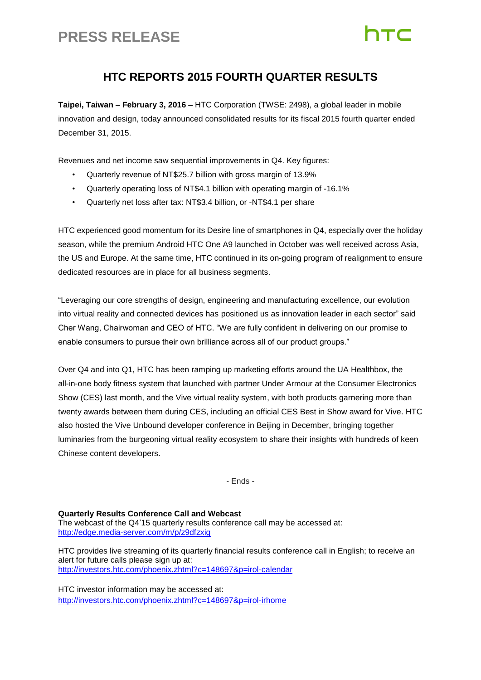## **PRESS RELEASE**

# **ITC**

### **HTC REPORTS 2015 FOURTH QUARTER RESULTS**

**Taipei, Taiwan – February 3, 2016 –** HTC Corporation (TWSE: 2498), a global leader in mobile innovation and design, today announced consolidated results for its fiscal 2015 fourth quarter ended December 31, 2015.

Revenues and net income saw sequential improvements in Q4. Key figures:

- Quarterly revenue of NT\$25.7 billion with gross margin of 13.9%
- Quarterly operating loss of NT\$4.1 billion with operating margin of -16.1%
- Quarterly net loss after tax: NT\$3.4 billion, or -NT\$4.1 per share

HTC experienced good momentum for its Desire line of smartphones in Q4, especially over the holiday season, while the premium Android HTC One A9 launched in October was well received across Asia, the US and Europe. At the same time, HTC continued in its on-going program of realignment to ensure dedicated resources are in place for all business segments.

"Leveraging our core strengths of design, engineering and manufacturing excellence, our evolution into virtual reality and connected devices has positioned us as innovation leader in each sector" said Cher Wang, Chairwoman and CEO of HTC. "We are fully confident in delivering on our promise to enable consumers to pursue their own brilliance across all of our product groups."

Over Q4 and into Q1, HTC has been ramping up marketing efforts around the UA Healthbox, the all-in-one body fitness system that launched with partner Under Armour at the Consumer Electronics Show (CES) last month, and the Vive virtual reality system, with both products garnering more than twenty awards between them during CES, including an official CES Best in Show award for Vive. HTC also hosted the Vive Unbound developer conference in Beijing in December, bringing together luminaries from the burgeoning virtual reality ecosystem to share their insights with hundreds of keen Chinese content developers.

- Ends -

**Quarterly Results Conference Call and Webcast** The webcast of the Q4'15 quarterly results conference call may be accessed at: <http://edge.media-server.com/m/p/z9dfzxig>

HTC provides live streaming of its quarterly financial results conference call in English; to receive an alert for future calls please sign up at: <http://investors.htc.com/phoenix.zhtml?c=148697&p=irol-calendar>

HTC investor information may be accessed at: <http://investors.htc.com/phoenix.zhtml?c=148697&p=irol-irhome>